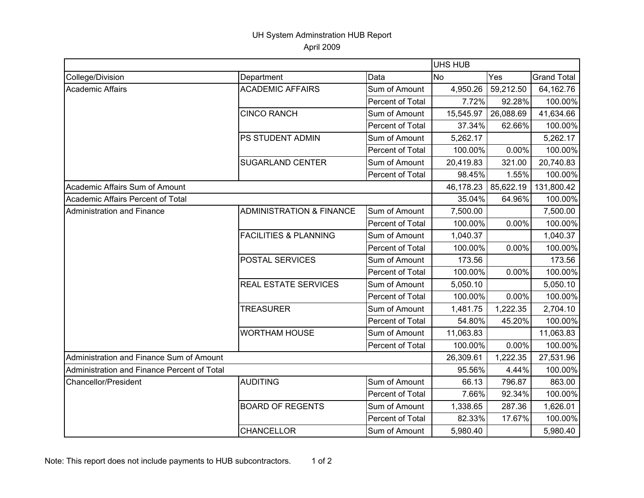## UH System Adminstration HUB Report April 2009

|                                             |                                     |                  |           | <b>UHS HUB</b> |                    |  |  |
|---------------------------------------------|-------------------------------------|------------------|-----------|----------------|--------------------|--|--|
| College/Division                            | Department                          | Data             | <b>No</b> | Yes            | <b>Grand Total</b> |  |  |
| <b>Academic Affairs</b>                     | <b>ACADEMIC AFFAIRS</b>             | Sum of Amount    | 4,950.26  | 59,212.50      | 64,162.76          |  |  |
|                                             |                                     | Percent of Total | 7.72%     | 92.28%         | 100.00%            |  |  |
|                                             | <b>CINCO RANCH</b>                  | Sum of Amount    | 15,545.97 | 26,088.69      | 41,634.66          |  |  |
|                                             |                                     | Percent of Total | 37.34%    | 62.66%         | 100.00%            |  |  |
|                                             | PS STUDENT ADMIN                    | Sum of Amount    | 5,262.17  |                | 5,262.17           |  |  |
|                                             |                                     | Percent of Total | 100.00%   | 0.00%          | 100.00%            |  |  |
|                                             | <b>SUGARLAND CENTER</b>             | Sum of Amount    | 20,419.83 | 321.00         | 20,740.83          |  |  |
|                                             |                                     | Percent of Total | 98.45%    | 1.55%          | 100.00%            |  |  |
| Academic Affairs Sum of Amount              |                                     |                  | 46,178.23 | 85,622.19      | 131,800.42         |  |  |
| Academic Affairs Percent of Total           |                                     |                  | 35.04%    | 64.96%         | 100.00%            |  |  |
| Administration and Finance                  | <b>ADMINISTRATION &amp; FINANCE</b> | Sum of Amount    | 7,500.00  |                | 7,500.00           |  |  |
|                                             |                                     | Percent of Total | 100.00%   | 0.00%          | 100.00%            |  |  |
|                                             | <b>FACILITIES &amp; PLANNING</b>    | Sum of Amount    | 1,040.37  |                | 1,040.37           |  |  |
|                                             |                                     | Percent of Total | 100.00%   | 0.00%          | 100.00%            |  |  |
|                                             | POSTAL SERVICES                     | Sum of Amount    | 173.56    |                | 173.56             |  |  |
|                                             |                                     | Percent of Total | 100.00%   | 0.00%          | 100.00%            |  |  |
|                                             | <b>REAL ESTATE SERVICES</b>         | Sum of Amount    | 5,050.10  |                | 5,050.10           |  |  |
|                                             |                                     | Percent of Total | 100.00%   | 0.00%          | 100.00%            |  |  |
|                                             | <b>TREASURER</b>                    | Sum of Amount    | 1,481.75  | 1,222.35       | 2,704.10           |  |  |
|                                             |                                     | Percent of Total | 54.80%    | 45.20%         | 100.00%            |  |  |
|                                             | <b>WORTHAM HOUSE</b>                | Sum of Amount    | 11,063.83 |                | 11,063.83          |  |  |
|                                             |                                     | Percent of Total | 100.00%   | $0.00\%$       | 100.00%            |  |  |
| Administration and Finance Sum of Amount    |                                     |                  | 26,309.61 | 1,222.35       | 27,531.96          |  |  |
| Administration and Finance Percent of Total |                                     |                  | 95.56%    | 4.44%          | 100.00%            |  |  |
| Chancellor/President                        | <b>AUDITING</b>                     | Sum of Amount    | 66.13     | 796.87         | 863.00             |  |  |
|                                             |                                     | Percent of Total | 7.66%     | 92.34%         | 100.00%            |  |  |
|                                             | <b>BOARD OF REGENTS</b>             | Sum of Amount    | 1,338.65  | 287.36         | 1,626.01           |  |  |
|                                             |                                     | Percent of Total | 82.33%    | 17.67%         | 100.00%            |  |  |
|                                             | <b>CHANCELLOR</b>                   | Sum of Amount    | 5,980.40  |                | 5,980.40           |  |  |